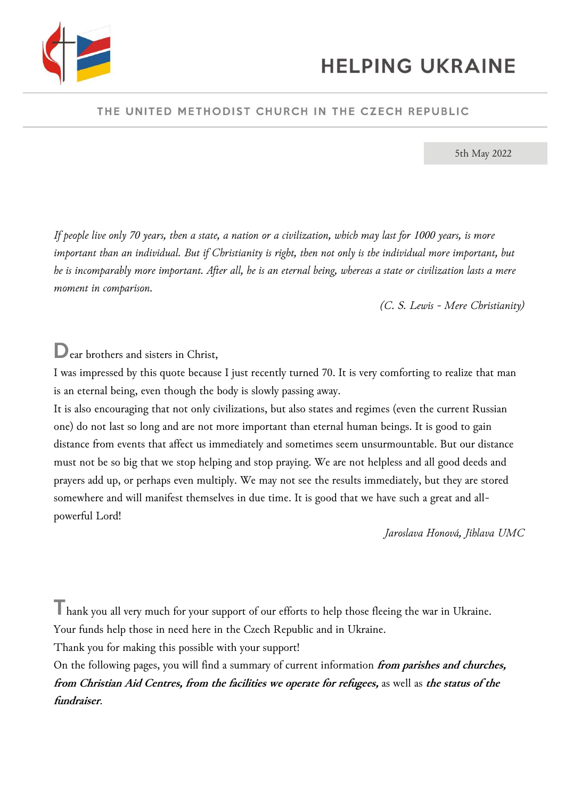

### THE UNITED METHODIST CHURCH IN THE CZECH REPUBLIC

5th May 2022

*If people live only 70 years, then a state, a nation or a civilization, which may last for 1000 years, is more*  important than an individual. But if Christianity is right, then not only is the individual more important, but *he is incomparably more important. After all, he is an eternal being, whereas a state or civilization lasts a mere moment in comparison.*

*(C. S. Lewis - Mere Christianity)*

Dear brothers and sisters in Christ,

I was impressed by this quote because I just recently turned 70. It is very comforting to realize that man is an eternal being, even though the body is slowly passing away.

It is also encouraging that not only civilizations, but also states and regimes (even the current Russian one) do not last so long and are not more important than eternal human beings. It is good to gain distance from events that affect us immediately and sometimes seem unsurmountable. But our distance must not be so big that we stop helping and stop praying. We are not helpless and all good deeds and prayers add up, or perhaps even multiply. We may not see the results immediately, but they are stored somewhere and will manifest themselves in due time. It is good that we have such a great and allpowerful Lord!

*Jaroslava Honová, Jihlava UMC*

Thank you all very much for your support of our efforts to help those fleeing the war in Ukraine.

Your funds help those in need here in the Czech Republic and in Ukraine.

Thank you for making this possible with your support!

On the following pages, you will find a summary of current information **from parishes and churches, from Christian Aid Centres, from the facilities we operate for refugees,** as well as **the status of the fundraiser**.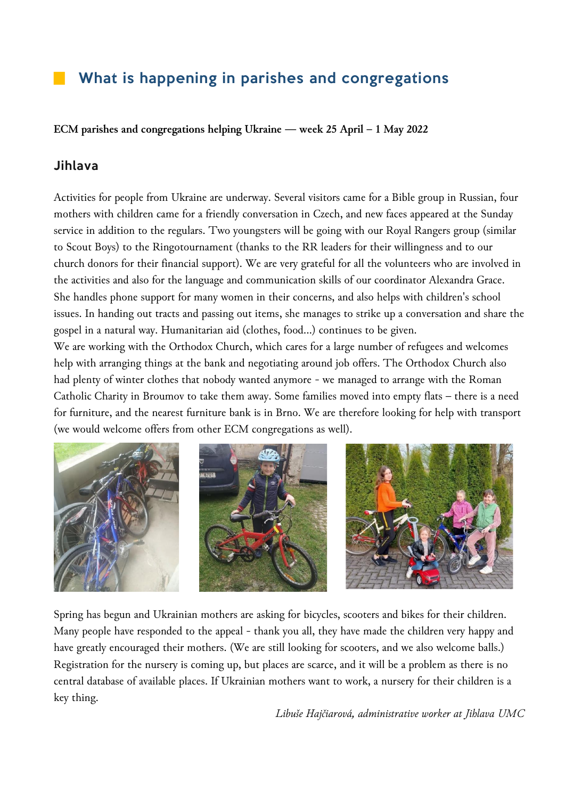# What is happening in parishes and congregations

**ECM parishes and congregations helping Ukraine — week 25 April – 1 May 2022**

### Jihlava

Activities for people from Ukraine are underway. Several visitors came for a Bible group in Russian, four mothers with children came for a friendly conversation in Czech, and new faces appeared at the Sunday service in addition to the regulars. Two youngsters will be going with our Royal Rangers group (similar to Scout Boys) to the Ringotournament (thanks to the RR leaders for their willingness and to our church donors for their financial support). We are very grateful for all the volunteers who are involved in the activities and also for the language and communication skills of our coordinator Alexandra Grace. She handles phone support for many women in their concerns, and also helps with children's school issues. In handing out tracts and passing out items, she manages to strike up a conversation and share the gospel in a natural way. Humanitarian aid (clothes, food...) continues to be given.

We are working with the Orthodox Church, which cares for a large number of refugees and welcomes help with arranging things at the bank and negotiating around job offers. The Orthodox Church also had plenty of winter clothes that nobody wanted anymore - we managed to arrange with the Roman Catholic Charity in Broumov to take them away. Some families moved into empty flats – there is a need for furniture, and the nearest furniture bank is in Brno. We are therefore looking for help with transport (we would welcome offers from other ECM congregations as well).



Spring has begun and Ukrainian mothers are asking for bicycles, scooters and bikes for their children. Many people have responded to the appeal - thank you all, they have made the children very happy and have greatly encouraged their mothers. (We are still looking for scooters, and we also welcome balls.) Registration for the nursery is coming up, but places are scarce, and it will be a problem as there is no central database of available places. If Ukrainian mothers want to work, a nursery for their children is a key thing.

*Libuše Hajčiarová, administrative worker at Jihlava UMC*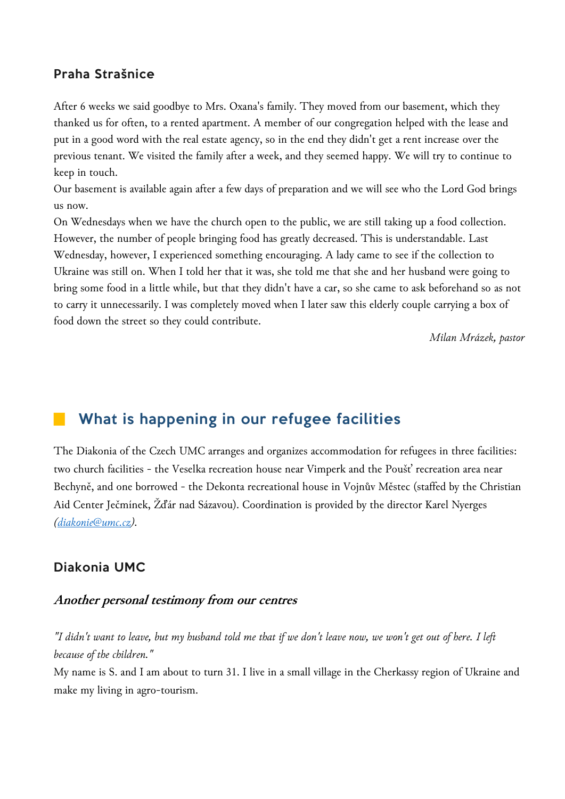### Praha Strašnice

After 6 weeks we said goodbye to Mrs. Oxana's family. They moved from our basement, which they thanked us for often, to a rented apartment. A member of our congregation helped with the lease and put in a good word with the real estate agency, so in the end they didn't get a rent increase over the previous tenant. We visited the family after a week, and they seemed happy. We will try to continue to keep in touch.

Our basement is available again after a few days of preparation and we will see who the Lord God brings us now.

On Wednesdays when we have the church open to the public, we are still taking up a food collection. However, the number of people bringing food has greatly decreased. This is understandable. Last Wednesday, however, I experienced something encouraging. A lady came to see if the collection to Ukraine was still on. When I told her that it was, she told me that she and her husband were going to bring some food in a little while, but that they didn't have a car, so she came to ask beforehand so as not to carry it unnecessarily. I was completely moved when I later saw this elderly couple carrying a box of food down the street so they could contribute.

*Milan Mrázek, pastor*

## What is happening in our refugee facilities

The Diakonia of the Czech UMC arranges and organizes accommodation for refugees in three facilities: two church facilities - the Veselka recreation house near Vimperk and the Poušť recreation area near Bechyně, and one borrowed - the Dekonta recreational house in Vojnův Městec (staffed by the Christian Aid Center Ječmínek, Žďár nad Sázavou). Coordination is provided by the director Karel Nyerges *[\(diakonie@umc.cz\)](mailto:diakonie@umc.cz).*

### Diakonia UMC

#### **Another personal testimony from our centres**

*"I didn't want to leave, but my husband told me that if we don't leave now, we won't get out of here. I left because of the children."*

My name is S. and I am about to turn 31. I live in a small village in the Cherkassy region of Ukraine and make my living in agro-tourism.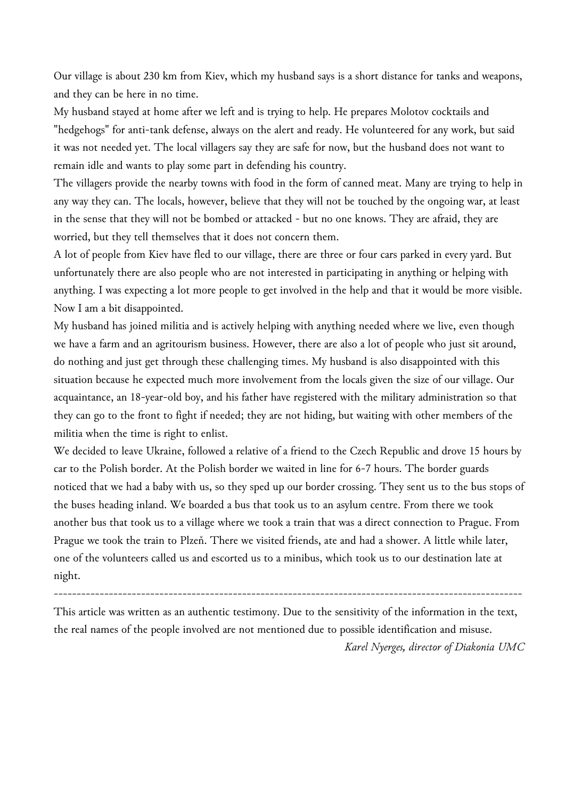Our village is about 230 km from Kiev, which my husband says is a short distance for tanks and weapons, and they can be here in no time.

My husband stayed at home after we left and is trying to help. He prepares Molotov cocktails and "hedgehogs" for anti-tank defense, always on the alert and ready. He volunteered for any work, but said it was not needed yet. The local villagers say they are safe for now, but the husband does not want to remain idle and wants to play some part in defending his country.

The villagers provide the nearby towns with food in the form of canned meat. Many are trying to help in any way they can. The locals, however, believe that they will not be touched by the ongoing war, at least in the sense that they will not be bombed or attacked - but no one knows. They are afraid, they are worried, but they tell themselves that it does not concern them.

A lot of people from Kiev have fled to our village, there are three or four cars parked in every yard. But unfortunately there are also people who are not interested in participating in anything or helping with anything. I was expecting a lot more people to get involved in the help and that it would be more visible. Now I am a bit disappointed.

My husband has joined militia and is actively helping with anything needed where we live, even though we have a farm and an agritourism business. However, there are also a lot of people who just sit around, do nothing and just get through these challenging times. My husband is also disappointed with this situation because he expected much more involvement from the locals given the size of our village. Our acquaintance, an 18-year-old boy, and his father have registered with the military administration so that they can go to the front to fight if needed; they are not hiding, but waiting with other members of the militia when the time is right to enlist.

We decided to leave Ukraine, followed a relative of a friend to the Czech Republic and drove 15 hours by car to the Polish border. At the Polish border we waited in line for 6-7 hours. The border guards noticed that we had a baby with us, so they sped up our border crossing. They sent us to the bus stops of the buses heading inland. We boarded a bus that took us to an asylum centre. From there we took another bus that took us to a village where we took a train that was a direct connection to Prague. From Prague we took the train to Plzeň. There we visited friends, ate and had a shower. A little while later, one of the volunteers called us and escorted us to a minibus, which took us to our destination late at night.

This article was written as an authentic testimony. Due to the sensitivity of the information in the text, the real names of the people involved are not mentioned due to possible identification and misuse. *Karel Nyerges, director of Diakonia UMC*

------------------------------------------------------------------------------------------------------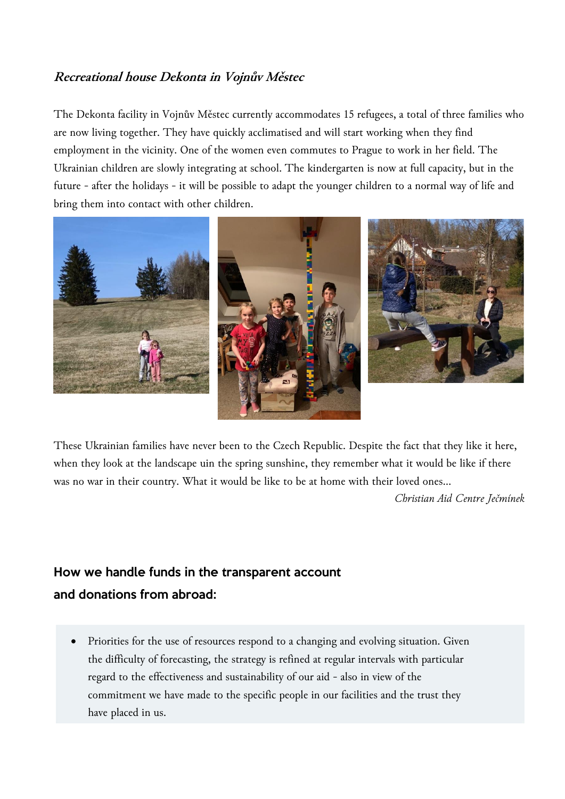## **Recreational house Dekonta in Vojnův Městec**

The Dekonta facility in Vojnův Městec currently accommodates 15 refugees, a total of three families who are now living together. They have quickly acclimatised and will start working when they find employment in the vicinity. One of the women even commutes to Prague to work in her field. The Ukrainian children are slowly integrating at school. The kindergarten is now at full capacity, but in the future - after the holidays - it will be possible to adapt the younger children to a normal way of life and bring them into contact with other children.



These Ukrainian families have never been to the Czech Republic. Despite the fact that they like it here, when they look at the landscape uin the spring sunshine, they remember what it would be like if there was no war in their country. What it would be like to be at home with their loved ones...

*Christian Aid Centre Ječmínek*

# How we handle funds in the transparent account and donations from abroad:

• Priorities for the use of resources respond to a changing and evolving situation. Given the difficulty of forecasting, the strategy is refined at regular intervals with particular regard to the effectiveness and sustainability of our aid - also in view of the commitment we have made to the specific people in our facilities and the trust they have placed in us.